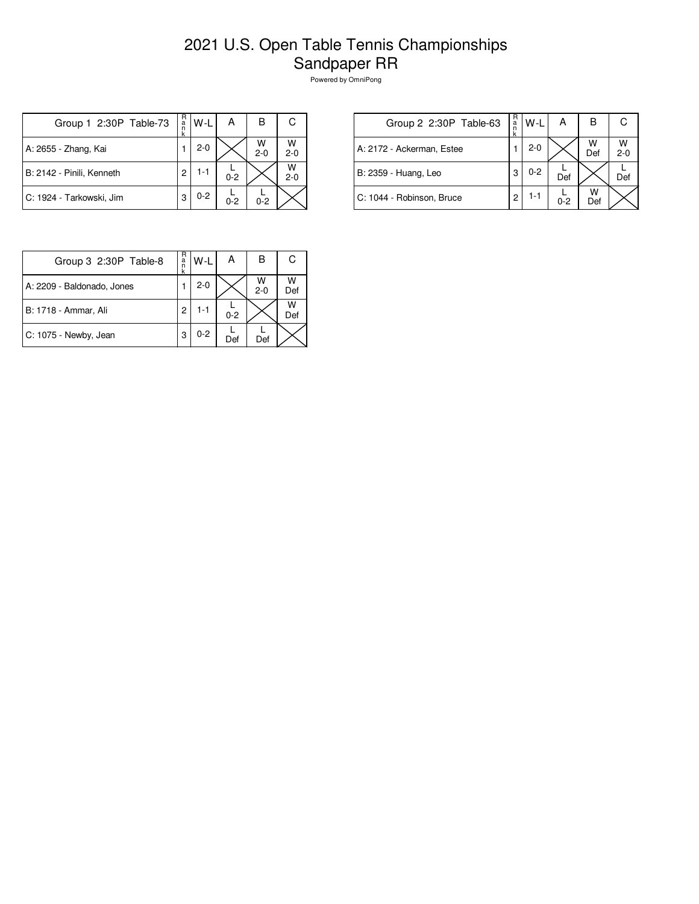## 2021 U.S. Open Table Tennis Championships Sandpaper RR

Powered by OmniPong

| Group 1 2:30P Table-73    | R<br>a<br>n<br>k | $W-L$   | А       | в            | С            |
|---------------------------|------------------|---------|---------|--------------|--------------|
| A: 2655 - Zhang, Kai      |                  | $2-0$   |         | W<br>$2 - 0$ | W<br>$2 - 0$ |
| B: 2142 - Pinili, Kenneth | 2                | $1 - 1$ | $0 - 2$ |              | W<br>$2 - 0$ |
| C: 1924 - Tarkowski, Jim  | 3                | $0 - 2$ | $0 - 2$ | $0 - 2$      |              |

| Group 2 2:30P Table-63    | R<br>a<br>n<br>k | $W-L$   | А       | В        | C            |
|---------------------------|------------------|---------|---------|----------|--------------|
| A: 2172 - Ackerman, Estee |                  | $2 - 0$ |         | W<br>Def | W<br>$2 - 0$ |
| B: 2359 - Huang, Leo      | 3                | $0 - 2$ | Def     |          | Def          |
| C: 1044 - Robinson, Bruce | 2                | 1-1     | $0 - 2$ | w<br>Def |              |

| Group 3 2:30P Table-8      | R<br>a<br>n<br>k | $W-L$   | А       | в            | C        |
|----------------------------|------------------|---------|---------|--------------|----------|
| A: 2209 - Baldonado, Jones |                  | $2 - 0$ |         | w<br>$2 - 0$ | W<br>Def |
| B: 1718 - Ammar, Ali       | 2                | 1-1     | $0 - 2$ |              | W<br>Def |
| C: 1075 - Newby, Jean      | 3                | $0 - 2$ | Def     | Def          |          |